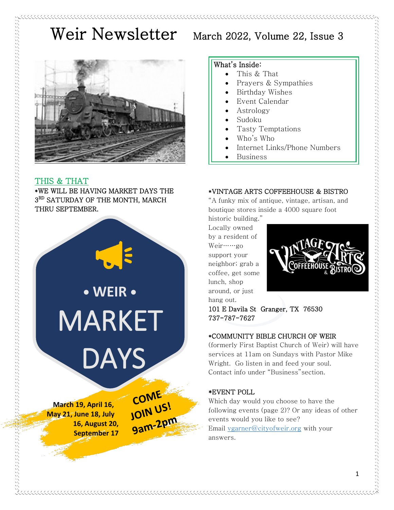

## THIS & THAT

しょうしょう しょうしょう しょうしょう こうしょう こうしょう こうしょう こうしょう こうしょう こうしょう こうしょう こうしょう こうしょう こうしょう こうしょう こうしょう

\*WE WILL BE HAVING MARKET DAYS THE 3<sup>RD</sup> SATURDAY OF THE MONTH, MARCH THRU SEPTEMBER.



**16, August 20, September 17**



#### What's Inside:

- This & That
	- Prayers & Sympathies
- Birthday Wishes
- Event Calendar
- Astrology
- Sudoku
- Tasty Temptations
- Who's Who
- Internet Links/Phone Numbers
- Business

#### \*VINTAGE ARTS COFFEEHOUSE & BISTRO

"A funky mix of antique, vintage, artisan, and boutique stores inside a 4000 square foot historic building."

Locally owned by a resident of Weir……go support your neighbor; grab a coffee, get some lunch, shop around, or just hang out.



101 E Davila St Granger, TX 76530 737-787-7627

#### \*COMMUNITY BIBLE CHURCH OF WEIR

(formerly First Baptist Church of Weir) will have services at 11am on Sundays with Pastor Mike Wright. Go listen in and feed your soul. Contact info under "Business"section.

### \*EVENT POLL

Which day would you choose to have the following events (page 2)? Or any ideas of other events would you like to see? Email [vgarner@cityofweir.org](mailto:vgarner@cityofweir.org) with your answers.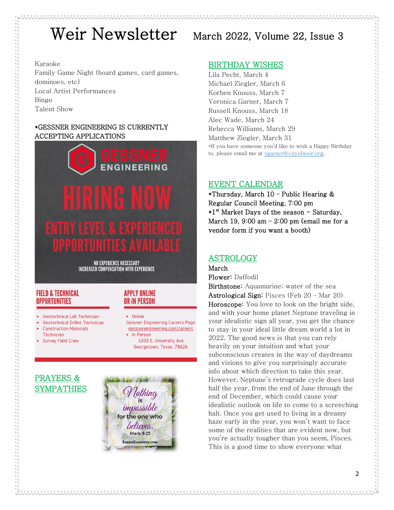#### Karaoke

Family Game Night (board games, card games, dominoes, etc) Local Artist Performances Bingo Talent Show

#### \*GESSNER ENGINEERING IS CURRENTLY ACCEPTING APPLICATIONS



**NO EXPERIENCE NECESSARY INCREASED COMPENSATION WITH EXPERIENCE** 

### **FIELD & TECHNICAL OPPORTUNITIES**

- **Geotechnical Lab Technician**
- **Geotechnical Driller Technician Construction Materials**
- Technician • Survey Field Crew

#### **APPLY ONLINE OR IN PERSON**

- Online
	- **Gessner Engineering Careers Page** gessnerengineering.com/careers • In Person
		- 3200 E. University Ave. Georgetown, Texas, 78626

# PRAYERS & SYMPATHIES



### BIRTHDAY WISHES

Lila Pecht, March 4 Michael Ziegler, March 6 Korben Knouss, March 7 Veronica Garner, March 7 Russell Knouss, March 18 Alec Wade, March 24 Rebecca Williams, March 29 Matthew Ziegler, March 31 \*If you have someone you'd like to wish a Happy Birthday to, please email me at [vgarner@cityofweir.org.](mailto:vgarner@cityofweir.org) 

## EVENT CALENDAR

\*Thursday, March  $10$  – Public Hearing & Regular Council Meeting, 7:00 pm \*1<sup>st</sup> Market Days of the season - Saturday, March 19, 9:00 am  $-$  2:00 pm (email me for a vendor form if you want a booth)

# ASTROLOGY

March Flower: Daffodil

Birthstone: Aquamarine; water of the sea Astrological Sign: Pisces (Feb 20 – Mar 20) Horoscope: You love to look on the bright side, and with your home planet Neptune traveling in your idealistic sign all year, you get the chance to stay in your ideal little dream world a lot in 2022. The good news is that you can rely heavily on your intuition and what your subconscious creates in the way of daydreams and visions to give you surprisingly accurate info about which direction to take this year. However, Neptune's retrograde cycle does last half the year, from the end of June through the end of December, which could cause your idealistic outlook on life to come to a screeching halt. Once you get used to living in a dreamy haze early in the year, you won't want to face some of the realities that are evident now, but you're actually tougher than you seem, Pisces. This is a good time to show everyone what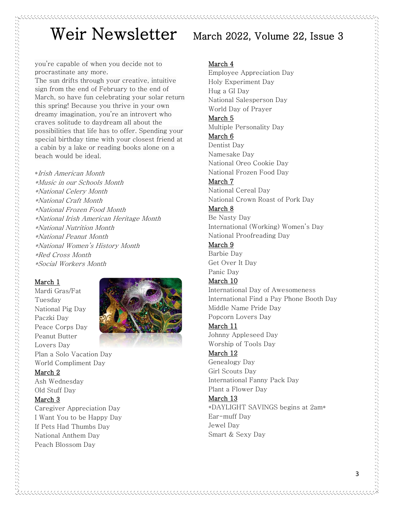you're capable of when you decide not to procrastinate any more.

The sun drifts through your creative, intuitive sign from the end of February to the end of March, so have fun celebrating your solar return this spring! Because you thrive in your own dreamy imagination, you're an introvert who craves solitude to daydream all about the possibilities that life has to offer. Spending your special birthday time with your closest friend at a cabin by a lake or reading books alone on a beach would be ideal.

\*Irish American Month \*Music in our Schools Month \*National Celery Month \*National Craft Month \*National Frozen Food Month \*National Irish American Heritage Month \*National Nutrition Month \*National Peanut Month \*National Women's History Month \*Red Cross Month \*Social Workers Month

#### March 1

Mardi Gras/Fat Tuesday National Pig Day Paczki Day Peace Corps Day Peanut Butter Lovers Day Plan a Solo Vacation Day World Compliment Day



### March 2

Ash Wednesday Old Stuff Day

#### March 3

Caregiver Appreciation Day I Want You to be Happy Day If Pets Had Thumbs Day National Anthem Day Peach Blossom Day

Employee Appreciation Day

Holy Experiment Day

#### March 4

Hug a GI Day National Salesperson Day World Day of Prayer March 5 Multiple Personality Day March 6 Dentist Day Namesake Day National Oreo Cookie Day National Frozen Food Day March 7 National Cereal Day National Crown Roast of Pork Day March 8 Be Nasty Day International (Working) Women's Day National Proofreading Day March 9 Barbie Day Get Over It Day Panic Day March 10 International Day of Awesomeness International Find a Pay Phone Booth Day Middle Name Pride Day Popcorn Lovers Day March 11 Johnny Appleseed Day Worship of Tools Day March 12 Genealogy Day Girl Scouts Day International Fanny Pack Day Plant a Flower Day March 13 \*DAYLIGHT SAVINGS begins at 2am\* Ear-muff Day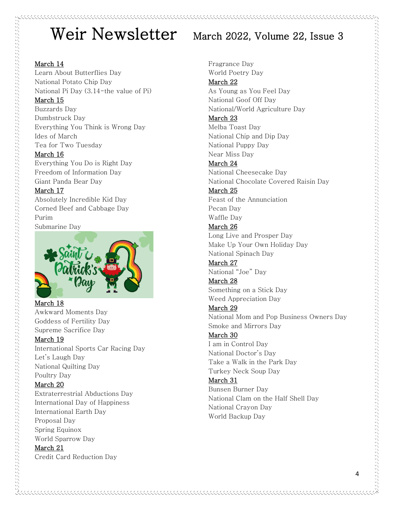### March 14

Learn About Butterflies Day National Potato Chip Day National Pi Day (3.14-the value of Pi)

#### March 15

Buzzards Day Dumbstruck Day Everything You Think is Wrong Day Ides of March Tea for Two Tuesday

#### March 16

Everything You Do is Right Day Freedom of Information Day Giant Panda Bear Day

### March 17

Absolutely Incredible Kid Day Corned Beef and Cabbage Day Purim Submarine Day



#### March 18 Awkward Moments Day Goddess of Fertility Day Supreme Sacrifice Day

### March 19

International Sports Car Racing Day Let's Laugh Day National Quilting Day Poultry Day March 20 Extraterrestrial Abductions Day International Day of Happiness International Earth Day Proposal Day Spring Equinox World Sparrow Day

### March 21 Credit Card Reduction Day

Fragrance Day World Poetry Day March 22 As Young as You Feel Day National Goof Off Day National/World Agriculture Day March 23 Melba Toast Day National Chip and Dip Day National Puppy Day Near Miss Day March 24 National Cheesecake Day National Chocolate Covered Raisin Day March 25 Feast of the Annunciation Pecan Day Waffle Day March 26 Long Live and Prosper Day Make Up Your Own Holiday Day National Spinach Day March 27 National "Joe" Day March 28 Something on a Stick Day Weed Appreciation Day March 29

National Mom and Pop Business Owners Day Smoke and Mirrors Day

### March 30

I am in Control Day National Doctor's Day Take a Walk in the Park Day Turkey Neck Soup Day

### March 31

Bunsen Burner Day National Clam on the Half Shell Day National Crayon Day World Backup Day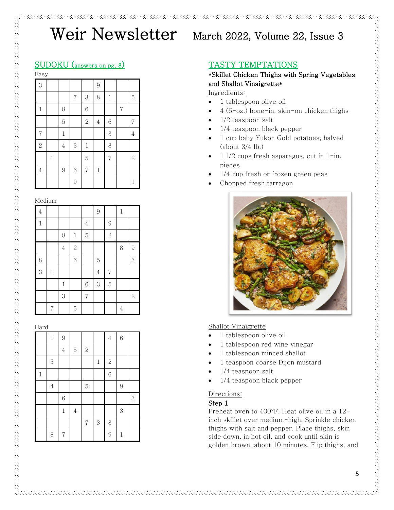## SUDOKU (answers on pg. 8)

| 3              |       |                |                |                | $\overline{9}$ |                |                |                |
|----------------|-------|----------------|----------------|----------------|----------------|----------------|----------------|----------------|
|                |       |                | $\overline{7}$ | 3              | 8              | $\mathbf 1$    |                | 5              |
| $\,1$          |       | 8              |                | $\sqrt{6}$     |                |                | $\overline{7}$ |                |
|                |       | $\overline{5}$ |                | $\sqrt{2}$     | $\sqrt{4}$     | 6              |                | 7              |
| $\overline{7}$ |       | $\,1$          |                |                |                | 3              |                | $\overline{4}$ |
| $\overline{2}$ |       | $\overline{4}$ | 3              | $\,1$          |                | 8              |                |                |
|                | $\,1$ |                |                | 5              |                | $\overline{7}$ |                | $\sqrt{2}$     |
| $\overline{4}$ |       | 9              | $\sqrt{6}$     | $\overline{7}$ | $\mathbf{1}$   |                |                |                |
|                |       |                | 9              |                |                |                |                | 1              |

#### Medium

| $\overline{4}$ |                |                |                |                | 9              |                | $\mathbf 1$    |                |
|----------------|----------------|----------------|----------------|----------------|----------------|----------------|----------------|----------------|
| $\mathbf{1}$   |                |                |                | $\sqrt{4}$     |                | $\overline{9}$ |                |                |
|                |                | 8              | $\,1$          | $\overline{5}$ |                | $\overline{c}$ |                |                |
|                |                | $\overline{4}$ | $\overline{2}$ |                |                |                | 8              | 9              |
| 8              |                |                | 6              |                | $\overline{5}$ |                |                | 3              |
| 3              | $\,1$          |                |                |                | $\overline{4}$ | $\overline{7}$ |                |                |
|                |                | $\mathbf{1}$   |                | 6              | 3              | $\overline{5}$ |                |                |
|                |                | 3              |                | $\overline{7}$ |                |                |                | $\overline{2}$ |
|                | $\overline{7}$ |                | $\overline{5}$ |                |                |                | $\overline{4}$ |                |

#### Hard

|              | $\,1$          | 9              |                |                |         | $\overline{4}$ | 6             |       |
|--------------|----------------|----------------|----------------|----------------|---------|----------------|---------------|-------|
|              |                | $\overline{4}$ | $\overline{5}$ | $\sqrt{2}$     |         |                |               |       |
|              | 3              |                |                |                | $\,1\,$ | $\sqrt{2}$     |               |       |
| $\mathbf{1}$ |                |                |                |                |         | 6              |               |       |
|              | $\overline{4}$ |                |                | $\overline{5}$ |         |                | $\mathcal{G}$ |       |
|              |                | 6              |                |                |         |                |               | $\,3$ |
|              |                | $\mathbf 1$    | $\overline{4}$ |                |         |                | 3             |       |
|              |                |                |                | $\sqrt{ }$     | $\,3$   | 8              |               |       |
|              | 8              | $\sqrt{2}$     |                |                |         | 9              | $\mathbf{1}$  |       |

## TASTY TEMPTATIONS

## \*Skillet Chicken Thighs with Spring Vegetables and Shallot Vinaigrette\*

#### Ingredients:

- 1 tablespoon olive oil
- $4(6$ -oz.) bone-in, skin-on chicken thighs
- $1/2$  teaspoon salt
- 1/4 teaspoon black pepper
- 1 cup baby Yukon Gold potatoes, halved (about 3/4 lb.)
- $11/2$  cups fresh asparagus, cut in  $1$ -in. pieces
- $1/4$  cup fresh or frozen green peas
- Chopped fresh tarragon



#### Shallot Vinaigrette

- 1 tablespoon olive oil
- 1 tablespoon red wine vinegar
- 1 tablespoon minced shallot
- 1 teaspoon coarse Dijon mustard
- $1/4$  teaspoon salt
- 1/4 teaspoon black pepper

#### Directions:

#### Step 1

Preheat oven to 400°F. Heat olive oil in a 12 inch skillet over medium-high. Sprinkle chicken thighs with salt and pepper. Place thighs, skin side down, in hot oil, and cook until skin is golden brown, about 10 minutes. Flip thighs, and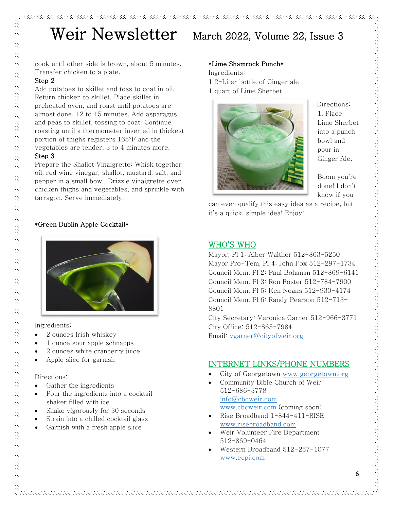cook until other side is brown, about 5 minutes. Transfer chicken to a plate.

#### Step 2

Add potatoes to skillet and toss to coat in oil. Return chicken to skillet. Place skillet in preheated oven, and roast until potatoes are almost done, 12 to 15 minutes. Add asparagus and peas to skillet, tossing to coat. Continue roasting until a thermometer inserted in thickest portion of thighs registers 165°F and the vegetables are tender, 3 to 4 minutes more.

#### Step 3

Prepare the Shallot Vinaigrette: Whisk together oil, red wine vinegar, shallot, mustard, salt, and pepper in a small bowl. Drizzle vinaigrette over chicken thighs and vegetables, and sprinkle with tarragon. Serve immediately.

#### \*Green Dublin Apple Cocktail\*



Ingredients:

- 2 ounces [Irish whiskey](https://www.thespruceeats.com/best-irish-whiskeys-4571035)
- 1 ounce sour apple schnapps
- 2 ounces white cranberry juice
- Apple slice for garnish

#### Directions:

- Gather the ingredients
- Pour the ingredients into a [cocktail](https://www.thespruceeats.com/best-bar-tools-4154467)  [shaker](https://www.thespruceeats.com/best-bar-tools-4154467) filled with ice
- [Shake vigorously](https://www.thespruceeats.com/how-to-shake-cocktails-760319) for 30 seconds
- [Strain](https://www.thespruceeats.com/how-to-strain-cocktails-759342) into a chilled [cocktail glass](https://www.thespruceeats.com/bar-glassware-tour-759984)
- Garnish with a fresh apple slice

### \*Lime Shamrock Punch\*

Ingredients: 1 2-Liter bottle of Ginger ale 1 quart of Lime Sherbet



Directions: 1. Place Lime Sherbet into a punch bowl and pour in Ginger Ale.

Boom you're done! I don't know if you

can even qualify this easy idea as a recipe, but it's a quick, simple idea! Enjoy!

### WHO'S WHO

Mayor, Pl 1: Alber Walther 512-863-5250 Mayor Pro-Tem, Pl 4: John Fox 512-297-1734 Council Mem, Pl 2: Paul Bohanan 512-869-6141 Council Mem, Pl 3: Ron Foster 512-784-7900 Council Mem, Pl 5: Ken Neans 512-930-4174 Council Mem, Pl 6: Randy Pearson 512-713- 8801 City Secretary: Veronica Garner 512-966-3771 City Office: 512-863-7984

Email: [vgarner@cityofweir.org](mailto:vgarner@cityofweir.org)

## INTERNET LINKS/PHONE NUMBERS

- City of Georgetown [www.georgetown.org](http://www.georgetown.org/)
- Community Bible Church of Weir 512-686-3778 [info@cbcweir.com](mailto:info@cbcweir.com) [www.cbcweir.com](http://www.cbcweir.com/) (coming soon)
- Rise Broadband 1-844-411-RISE [www.risebroadband.com](http://www.risebroadband.com/)
- Weir Volunteer Fire Department 512-869-0464

• Western Broadband 512-257-1077 [www.ecpi.com](http://www.ecpi.com/)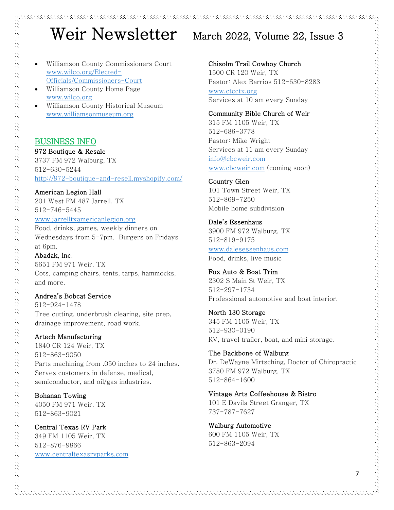- Williamson County Commissioners Court [www.wilco.org/Elected-](http://www.wilco.org/Elected-Officials/Commissioners-Court)[Officials/Commissioners-Court](http://www.wilco.org/Elected-Officials/Commissioners-Court)
- Williamson County Home Page [www.wilco.org](http://www.wilco.org/)
- Williamson County Historical Museum [www.williamsonmuseum.org](http://www.williamsonmuseum.org/)

### BUSINESS INFO

#### 972 Boutique & Resale

3737 FM 972 Walburg, TX 512-630-5244 <http://972-boutique-and-resell.myshopify.com/>

American Legion Hall

201 West FM 487 Jarrell, TX 512-746-5445

#### [www.jarrelltxamericanlegion.org](http://www.jarrelltxamericanlegion.org/)

Food, drinks, games, weekly dinners on Wednesdays from 5-7pm. Burgers on Fridays at 6pm.

#### Abadak, Inc.

しょうしょう しょうしょう しょうしょう しょうしょう しょうしょう しょうしょう しょうしょう しょうしょう しょうしょう しょうしょう しょうしょう しょうしょう しょうしょう しょうしょう しょうしょう しょうしょう しょうしょう

5651 FM 971 Weir, TX Cots, camping chairs, tents, tarps, hammocks, and more.

#### Andrea's Bobcat Service

512-924-1478 Tree cutting, underbrush clearing, site prep, drainage improvement, road work.

#### Artech Manufacturing

1840 CR 124 Weir, TX 512-863-9050 Parts machining from .050 inches to 24 inches. Serves customers in defense, medical, semiconductor, and oil/gas industries.

Bohanan Towing 4050 FM 971 Weir, TX 512-863-9021

# Central Texas RV Park

349 FM 1105 Weir, TX 512-876-9866 [www.centraltexasrvparks.com](http://www.centraltexasrvparks.com/)

#### Chisolm Trail Cowboy Church

1500 CR 120 Weir, TX Pastor: Alex Barrios 512-630-8283 [www.ctcctx.org](http://www.ctcctx.org/) Services at 10 am every Sunday

#### Community Bible Church of Weir

315 FM 1105 Weir, TX 512-686-3778 Pastor: Mike Wright Services at 11 am every Sunday [info@cbcweir.com](mailto:info@cbcweir.com) [www.cbcweir.com](http://www.cbcweir.com/) (coming soon)

#### Country Glen 101 Town Street Weir, TX 512-869-7250 Mobile home subdivision

Dale's Essenhaus 3900 FM 972 Walburg, TX 512-819-9175 [www.dalesessenhaus.com](http://www.dalesessenhaus.com/) Food, drinks, live music

#### Fox Auto & Boat Trim 2302 S Main St Weir, TX

512-297-1734 Professional automotive and boat interior.

# North 130 Storage 345 FM 1105 Weir, TX

512-930-0190 RV, travel trailer, boat, and mini storage.

### The Backbone of Walburg

Dr. DeWayne Mirtsching, Doctor of Chiropractic 3780 FM 972 Walburg, TX 512-864-1600

#### Vintage Arts Coffeehouse & Bistro

101 E Davila Street Granger, TX 737-787-7627

Walburg Automotive 600 FM 1105 Weir, TX 512-863-2094